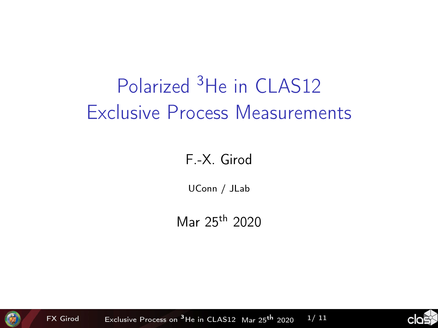# <span id="page-0-0"></span>Polarized <sup>3</sup>He in CLAS12 Exclusive Process Measurements

#### F.-X. Girod

UConn / JLab

Mar 25th 2020



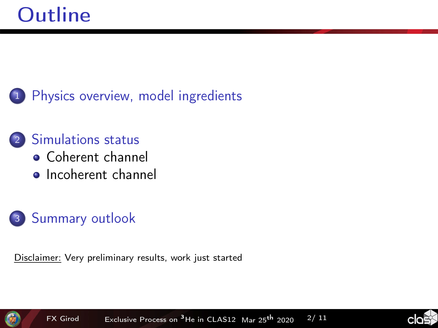<sup>1</sup> [Physics overview, model ingredients](#page-2-0)

#### <sup>2</sup> [Simulations status](#page-5-0) [Coherent channel](#page-5-0) **•** [Incoherent channel](#page-8-0)

<sup>3</sup> [Summary outlook](#page-10-0)

Disclaimer: Very preliminary results, work just started



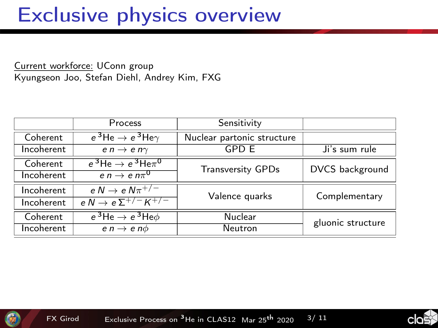#### <span id="page-2-0"></span>Exclusive physics overview

Current workforce: UConn group Kyungseon Joo, Stefan Diehl, Andrey Kim, FXG

|            | Process                                     | Sensitivity                |                   |
|------------|---------------------------------------------|----------------------------|-------------------|
| Coherent   | $e^3$ He $\rightarrow e^3$ He $\gamma$      | Nuclear partonic structure |                   |
| Incoherent | e $n \rightarrow e n \gamma$                | <b>GPD E</b>               | Ji's sum rule     |
| Coherent   | $e^{3}$ He $\rightarrow e^{3}$ He $\pi^{0}$ | <b>Transversity GPDs</b>   | DVCS background   |
| Incoherent | $en \rightarrow en\pi^{0}$                  |                            |                   |
| Incoherent | e $N \rightarrow e N \pi^{+/-}$             | Valence quarks             | Complementary     |
| Incoherent | $e N \rightarrow e \Sigma^{+/-} K^{+/-}$    |                            |                   |
| Coherent   | $e^3$ He $\rightarrow e^3$ He $\phi$        | Nuclear                    | gluonic structure |
| Incoherent | $e n \rightarrow e n \phi$                  | Neutron                    |                   |



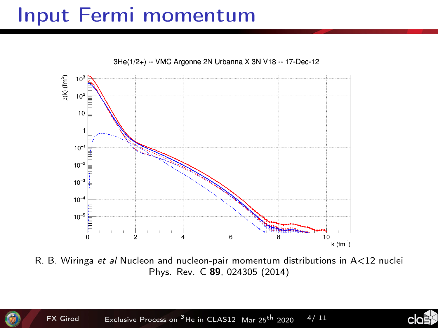### Input Fermi momentum



3He(1/2+) -- VMC Argonne 2N Urbanna X 3N V18 -- 17-Dec-12

R. B. Wiringa et al Nucleon and nucleon-pair momentum distributions in A<12 nuclei Phys. Rev. C 89, 024305 (2014)

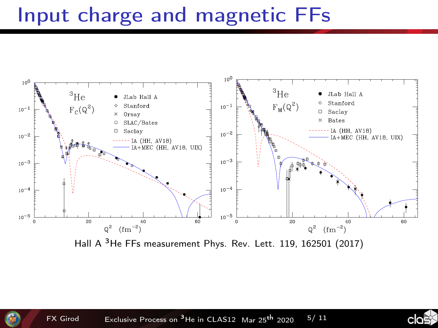## Input charge and magnetic FFs

FIG. 1: <sup>3</sup>He elastic structure function A(Q<sup>2</sup>) data from

elastic e-proton (e-p) scattering was measured at several



 $\mathcal{F}_1$  , 3He magnetic form factor  $\mathcal{F}_2$ 

 $F$ France  $F$  and  $F$  are  $F$  and  $F$  are form the from the from the from the from the from the from the from the from the from the from the from the from the from the from the from the from the from the from the from the FIGH A THE FFS MEASUREMENT FHYS. NEV. LELL 119, 102301 (2017) credible correction to the data for this effect should be Hall A 3He FFs measurement Phys. Rev. Lett. 119, 162501 (2017)

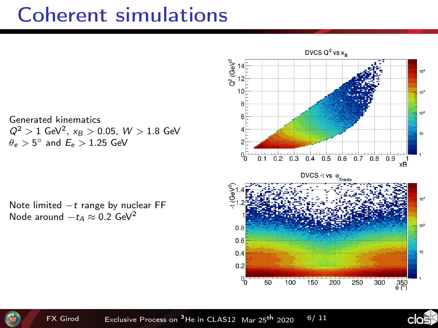### <span id="page-5-0"></span>Coherent simulations

DVCS  $Q^2$  vs  $x_p$  $Q^2$  (GeV<sup>2</sup>  $10$ R 10<sup>2</sup> ĥ 10  $0.3$  0.4 0.5 0.6 0.7 0.8 0.9 1  $0.1 \quad 0.2$ DVCS -t vs  $\phi_{\text{front}}$  $10<sup>2</sup>$  $0.8$  $0.6$  $0.4$ ١ċ  $0.2$  $0<sub>0</sub>$  $\overline{50}$ 100 150 200 250 300  $350$ 



Note limited −t range by nuclear FF Node around  $-t_A \approx 0.2$  GeV<sup>2</sup>



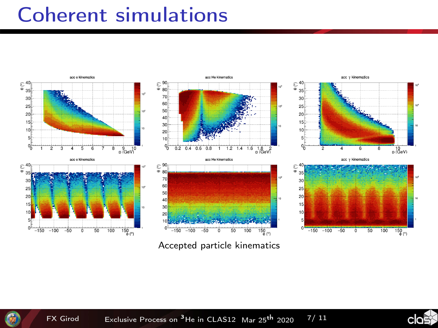#### **Coherent simulations**



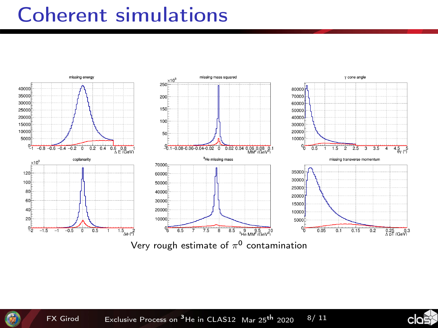#### **Coherent simulations**



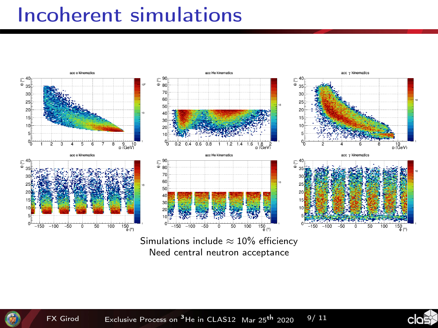#### <span id="page-8-0"></span>**Incoherent simulations**



Need central neutron acceptance



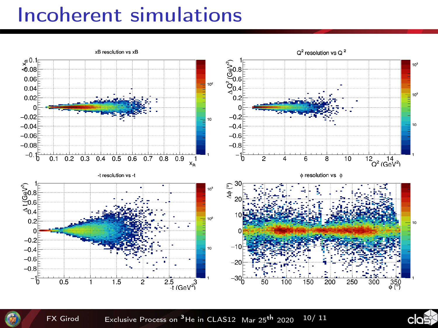#### **Incoherent simulations**





**FX Girod** Exclusive Process on <sup>3</sup>He in CLAS12 Mar 25<sup>th</sup> 2020  $10/11$